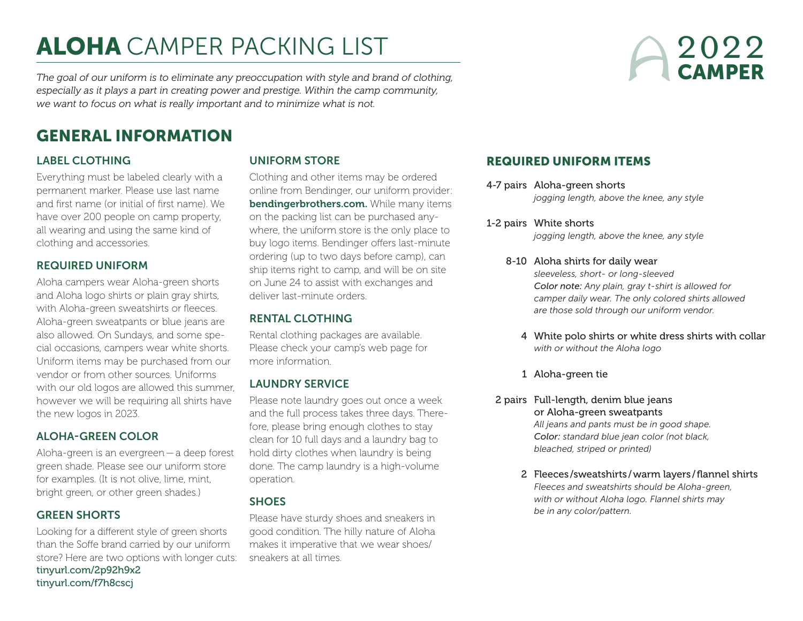# ALOHA CAMPER PACKING LIST

2022 **CAMPER** 

*The goal of our uniform is to eliminate any preoccupation with style and brand of clothing, especially as it plays a part in creating power and prestige. Within the camp community, we want to focus on what is really important and to minimize what is not.*

# GENERAL INFORMATION

# LABEL CLOTHING

Everything must be labeled clearly with a permanent marker. Please use last name and first name (or initial of first name). We have over 200 people on camp property, all wearing and using the same kind of clothing and accessories.

# REQUIRED UNIFORM

Aloha campers wear Aloha-green shorts and Aloha logo shirts or plain gray shirts, with Aloha-green sweatshirts or fleeces. Aloha-green sweatpants or blue jeans are also allowed. On Sundays, and some special occasions, campers wear white shorts. Uniform items may be purchased from our vendor or from other sources. Uniforms with our old logos are allowed this summer, however we will be requiring all shirts have the new logos in 2023.

## ALOHA-GREEN COLOR

Aloha-green is an evergreen—a deep forest green shade. Please see our uniform store for examples. (It is not olive, lime, mint, bright green, or other green shades.)

## GREEN SHORTS

Looking for a different style of green shorts than the Soffe brand carried by our uniform store? Here are two options with longer cuts: [tinyurl.com/2p92h9x2](http://tinyurl.com/2p92h9x2) [tinyurl.com/f7h8cscj](http://tinyurl.com/f7h8cscj)

# UNIFORM STORE

Clothing and other items may be ordered online from Bendinger, our uniform provider: [bendingerbrothers.com.](http://bendingerbrothers.com) While many items on the packing list can be purchased anywhere, the uniform store is the only place to buy logo items. Bendinger offers last-minute ordering (up to two days before camp), can ship items right to camp, and will be on site on June 24 to assist with exchanges and deliver last-minute orders.

# RENTAL CLOTHING

Rental clothing packages are available. Please check your camp's web page for more information.

# LAUNDRY SERVICE

Please note laundry goes out once a week and the full process takes three days. Therefore, please bring enough clothes to stay clean for 10 full days and a laundry bag to hold dirty clothes when laundry is being done. The camp laundry is a high-volume operation.

## **SHOES**

Please have sturdy shoes and sneakers in good condition. The hilly nature of Aloha makes it imperative that we wear shoes/ sneakers at all times.

# REQUIRED UNIFORM ITEMS

- 4-7 pairs Aloha-green shorts *jogging length, above the knee, any style*
- 1-2 pairs White shorts

*jogging length, above the knee, any style*

- 8-10 Aloha shirts for daily wear *sleeveless, short- or long-sleeved Color note: Any plain, gray t-shirt is allowed for camper daily wear. The only colored shirts allowed are those sold through our uniform vendor.* 
	- 4 White polo shirts or white dress shirts with collar *with or without the Aloha logo*
	- 1 Aloha-green tie
- 2 pairs Full-length, denim blue jeans or Aloha-green sweatpants *All jeans and pants must be in good shape. Color: standard blue jean color (not black, bleached, striped or printed)*
	- 2 Fleeces /sweatshirts /warm layers /flannel shirts *Fleeces and sweatshirts should be Aloha-green, with or without Aloha logo. Flannel shirts may be in any color/pattern.*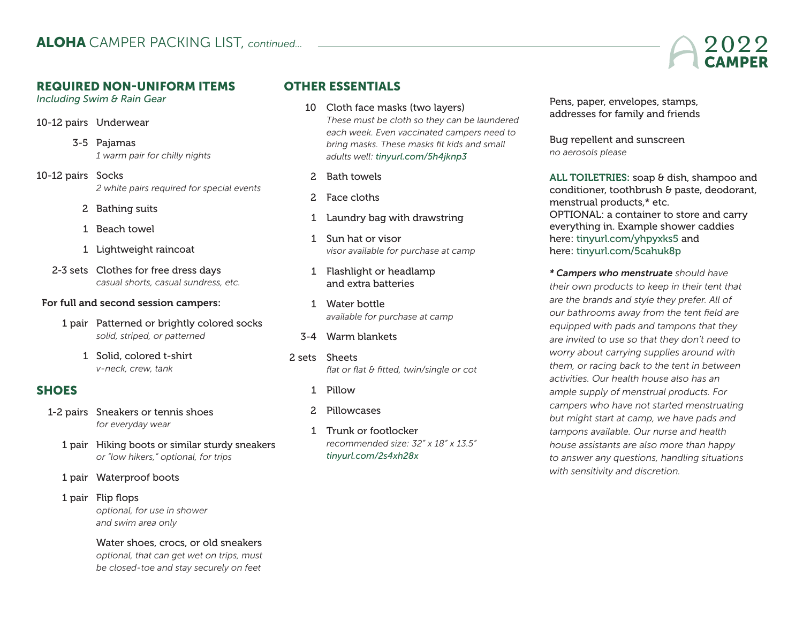# REQUIRED NON-UNIFORM ITEMS

*Including Swim & Rain Gear*

- 10-12 pairs Underwear
	- 3-5 Pajamas *1 warm pair for chilly nights*
- 10-12 pairs Socks *2 white pairs required for special events*
	- 2 Bathing suits
	- 1 Beach towel
	- 1 Lightweight raincoat
	- 2-3 sets Clothes for free dress days *casual shorts, casual sundress, etc.*

#### For full and second session campers:

- 1 pair Patterned or brightly colored socks *solid, striped, or patterned*
	- 1 Solid, colored t-shirt *v-neck, crew, tank*

# **SHOES**

- 1-2 pairs Sneakers or tennis shoes *for everyday wear*
	- 1 pair Hiking boots or similar sturdy sneakers *or "low hikers," optional, for trips*
	- 1 pair Waterproof boots
	- 1 pair Flip flops *optional, for use in shower and swim area only*
		- Water shoes, crocs, or old sneakers *optional, that can get wet on trips, must be closed-toe and stay securely on feet*

# OTHER ESSENTIALS

- 10 Cloth face masks (two layers) *These must be cloth so they can be laundered each week. Even vaccinated campers need to bring masks. These masks fit kids and small adults well: [tinyurl.com/5h4jknp3](https://www.amazon.com/Gildan-Reusable-Everyday-2-layer-Cotton/dp/B088YYYWKG/ref=sr_1_7?crid=R8T6E6V63EFG&keywords=reusable+white+cotton+face+masks&qid=1647516527&sprefix=reuseable+white+cotton+face+masks%2Caps%2C73&sr=8-7)*
	- 2 Bath towels
	- 2 Face cloths
	- 1 Laundry bag with drawstring
	- 1 Sun hat or visor *visor available for purchase at camp*
	- 1 Flashlight or headlamp and extra batteries
	- 1 Water bottle *available for purchase at camp*
- 3-4 Warm blankets
- 2 sets Sheets *flat or flat & fitted, twin/single or cot*
	- 1 Pillow
	- 2 Pillowcases
	- 1 Trunk or footlocker *recommended size: 32" x 18" x 13.5" [tinyurl.com/2s4xh28x](https://tinyurl.com/2s4xh28x)*

 Pens, paper, envelopes, stamps, addresses for family and friends

 Bug repellent and sunscreen *no aerosols please*

ALL TOILETRIES: soap & dish, shampoo and conditioner, toothbrush & paste, deodorant, menstrual products,\* etc. OPTIONAL: a container to store and carry everything in. Example shower caddies here: [tinyurl.com/yhpyxks5](http://tinyurl.com/yhpyxks5) and here: [tinyurl.com/5cahuk8p](https://tinyurl.com/5cahuk8p)

*\* Campers who menstruate should have their own products to keep in their tent that are the brands and style they prefer. All of our bathrooms away from the tent field are equipped with pads and tampons that they are invited to use so that they don't need to worry about carrying supplies around with them, or racing back to the tent in between activities. Our health house also has an ample supply of menstrual products. For campers who have not started menstruating but might start at camp, we have pads and tampons available. Our nurse and health house assistants are also more than happy to answer any questions, handling situations with sensitivity and discretion.*